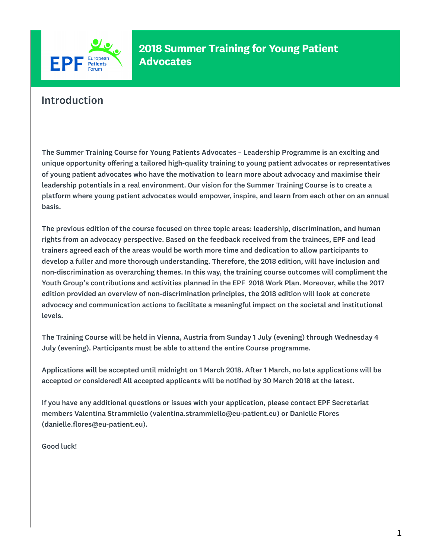

#### Introduction

The Summer Training Course for Young Patients Advocates – Leadership Programme is an exciting and unique opportunity offering a tailored high-quality training to young patient advocates or representatives of young patient advocates who have the motivation to learn more about advocacy and maximise their leadership potentials in a real environment. Our vision for the Summer Training Course is to create a platform where young patient advocates would empower, inspire, and learn from each other on an annual basis.

The previous edition of the course focused on three topic areas: leadership, discrimination, and human rights from an advocacy perspective. Based on the feedback received from the trainees, EPF and lead trainers agreed each of the areas would be worth more time and dedication to allow participants to develop a fuller and more thorough understanding. Therefore, the 2018 edition, will have inclusion and non-discrimination as overarching themes. In this way, the training course outcomes will compliment the Youth Group's contributions and activities planned in the EPF 2018 Work Plan. Moreover, while the 2017 edition provided an overview of non-discrimination principles, the 2018 edition will look at concrete advocacy and communication actions to facilitate a meaningful impact on the societal and institutional levels.

The Training Course will be held in Vienna, Austria from Sunday 1 July (evening) through Wednesday 4 July (evening). Participants must be able to attend the entire Course programme.

Applications will be accepted until midnight on 1 March 2018. After 1 March, no late applications will be accepted or considered! All accepted applicants will be notified by 30 March 2018 at the latest.

If you have any additional questions or issues with your application, please contact EPF Secretariat members Valentina Strammiello (valentina.strammiello@eu-patient.eu) or Danielle Flores (danielle.flores@eu-patient.eu).

Good luck!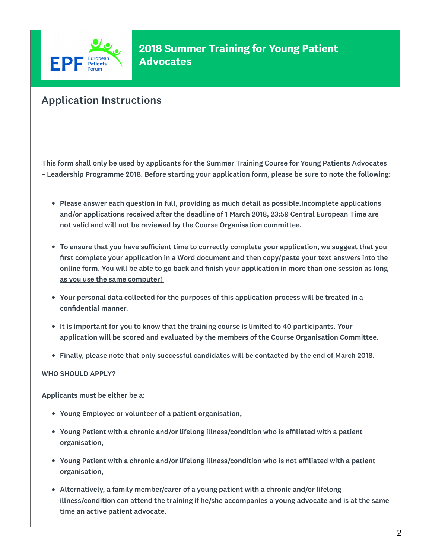

# Application Instructions

This form shall only be used by applicants for the Summer Training Course for Young Patients Advocates – Leadership Programme 2018. Before starting your application form, please be sure to note the following:

- Please answer each question in full, providing as much detail as possible.Incomplete applications and/or applications received after the deadline of 1 March 2018, 23:59 Central European Time are not valid and will not be reviewed by the Course Organisation committee.
- To ensure that you have sufficient time to correctly complete your application, we suggest that you first complete your application in a Word document and then copy/paste your text answers into the online form. You will be able to go back and finish your application in more than one session as long as you use the same computer!
- Your personal data collected for the purposes of this application process will be treated in a confidential manner.
- It is important for you to know that the training course is limited to 40 participants. Your application will be scored and evaluated by the members of the Course Organisation Committee.
- Finally, please note that only successful candidates will be contacted by the end of March 2018.

#### WHO SHOULD APPLY?

Applicants must be either be a:

- Young Employee or volunteer of a patient organisation,
- Young Patient with a chronic and/or lifelong illness/condition who is affiliated with a patient organisation,
- Young Patient with a chronic and/or lifelong illness/condition who is not affiliated with a patient organisation,
- Alternatively, a family member/carer of a young patient with a chronic and/or lifelong illness/condition can attend the training if he/she accompanies a young advocate and is at the same time an active patient advocate.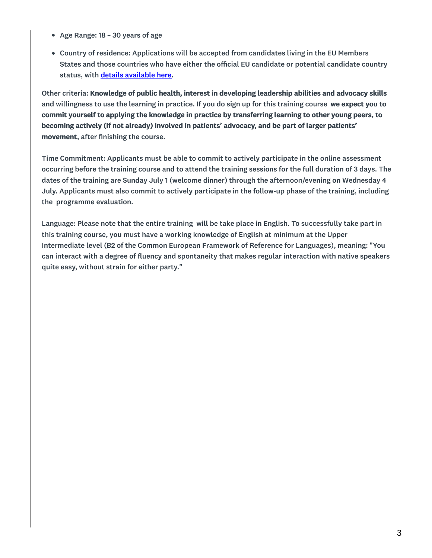- Age Range: 18 30 years of age
- Country of residence: Applications will be accepted from candidates living in the EU Members States and those countries who have either the official EU candidate or potential candidate country status, with details [available](http://ec.europa.eu/environment/enlarg/candidates.htm) here.

Other criteria: Knowledge of public health, interest in developing leadership abilities and advocacy skills and willingness to use the learning in practice. If you do sign up for this training course we expect you to commit yourself to applying the knowledge in practice by transferring learning to other young peers, to becoming actively (if not already) involved in patients' advocacy, and be part of larger patients' movement, after finishing the course.

Time Commitment: Applicants must be able to commit to actively participate in the online assessment occurring before the training course and to attend the training sessions for the full duration of 3 days. The dates of the training are Sunday July 1 (welcome dinner) through the afternoon/evening on Wednesday 4 July. Applicants must also commit to actively participate in the follow-up phase of the training, including the programme evaluation.

Language: Please note that the entire training will be take place in English. To successfully take part in this training course, you must have a working knowledge of English at minimum at the Upper Intermediate level (B2 of the Common European Framework of Reference for Languages), meaning: "You can interact with a degree of fluency and spontaneity that makes regular interaction with native speakers quite easy, without strain for either party."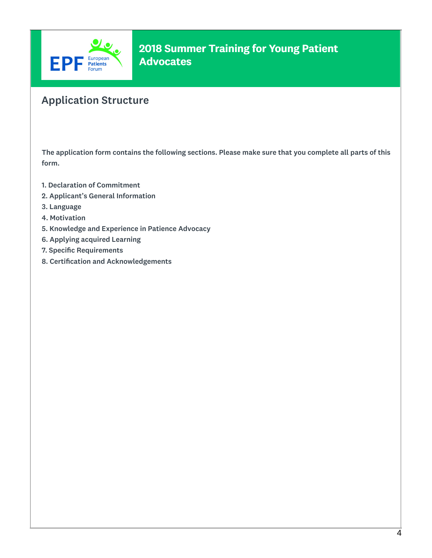

# Application Structure

The application form contains the following sections. Please make sure that you complete all parts of this form.

- 1. Declaration of Commitment
- 2. Applicant's General Information
- 3. Language
- 4. Motivation
- 5. Knowledge and Experience in Patience Advocacy
- 6. Applying acquired Learning
- 7. Specific Requirements
- 8. Certification and Acknowledgements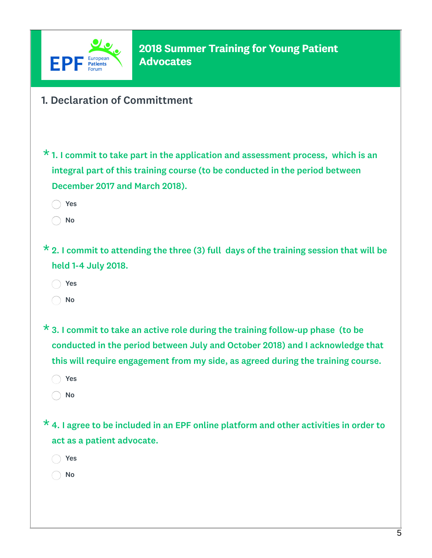

- 1. Declaration of Committment
- $\star$  1. I commit to take part in the application and assessment process, which is an integral part of this training course (to be conducted in the period between December 2017 and March 2018). ◯ No

 $\star$  2. I commit to attending the three (3) full days of the training session that will be held 1-4 July 2018.

Yes

Yes

No

 $\star$  3. I commit to take an active role during the training follow-up phase (to be conducted in the period between July and October 2018) and I acknowledge that this will require engagement from my side, as agreed during the training course.

- Yes
- $\bigcirc$  No

 $\star$  4. I agree to be included in an EPF online platform and other activities in order to act as a patient advocate.

- Yes
- No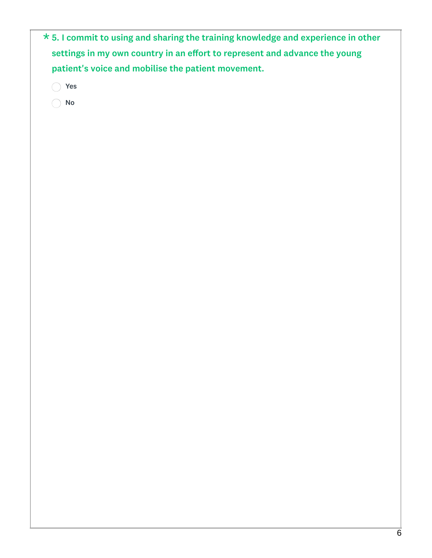| $\star$ 5. I commit to using and sharing the training knowledge and experience in other |  |
|-----------------------------------------------------------------------------------------|--|
| settings in my own country in an effort to represent and advance the young              |  |
| patient's voice and mobilise the patient movement.                                      |  |
| ◯ Yes                                                                                   |  |
| No                                                                                      |  |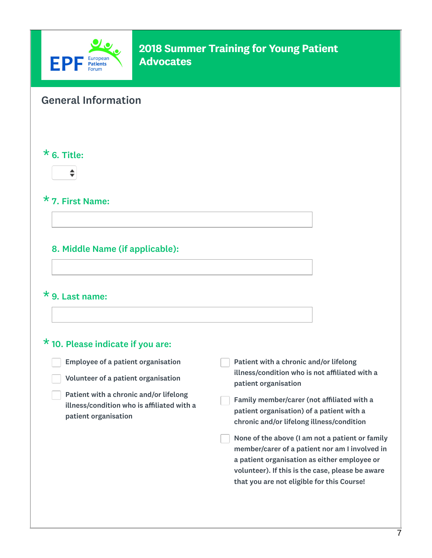

# General Information

#### $*$  6. Title:



#### \* 7. First Name:

#### 8. Middle Name (if applicable):

#### $*$  9. Last name:

#### $*$  10. Please indicate if you are:

Employee of a patient organisation Volunteer of a patient organisation Patient with a chronic and/or lifelong illness/condition who is affiliated with a patient organisation Patient with a chronic and/or lifelong illness/condition who is not affiliated with a patient organisation Family member/carer (not affiliated with a patient organisation) of a patient with a chronic and/or lifelong illness/condition None of the above (I am not a patient or family member/carer of a patient nor am I involved in a patient organisation as either employee or volunteer). If this is the case, please be aware that you are not eligible for this Course!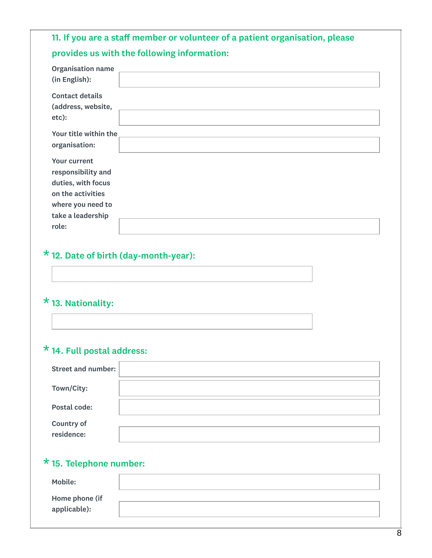# 11. If you are a staff member or volunteer of a patient organisation, please provides us with the following information:

| <b>Organisation name</b><br>(in English):                                                                                      |  |
|--------------------------------------------------------------------------------------------------------------------------------|--|
| <b>Contact details</b><br>(address, website,<br>etc):                                                                          |  |
| Your title within the<br>organisation:                                                                                         |  |
| <b>Your current</b><br>responsibility and<br>duties, with focus<br>on the activities<br>where you need to<br>take a leadership |  |
| role:                                                                                                                          |  |

# \*12. Date of birth (day-month-year):

# \*13. Nationality:

# \*14. Full postal address:

| <b>Street and number:</b>       |  |
|---------------------------------|--|
| Town/City:                      |  |
| Postal code:                    |  |
| <b>Country of</b><br>residence: |  |

# \*15. Telephone number:

| <b>Mobile:</b> |  |
|----------------|--|
| Home phone (if |  |
| applicable):   |  |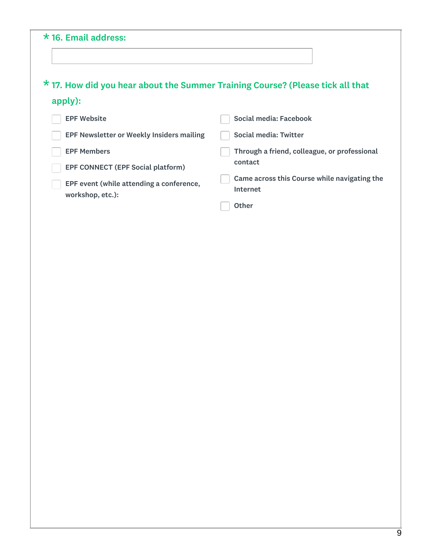#### $*$  16. Email address:  $^{\texttt{\texttt{\star}}}$  17. How did you hear about the Summer Training Course? (Please tick all that apply): **EPF Website** EPF Newsletter or Weekly Insiders mailing EPF Members EPF CONNECT (EPF Social platform) EPF event (while attending a conference, workshop, etc.): Social media: Facebook Social media: Twitter Through a friend, colleague, or professional contact Came across this Course while navigating the Internet **Other**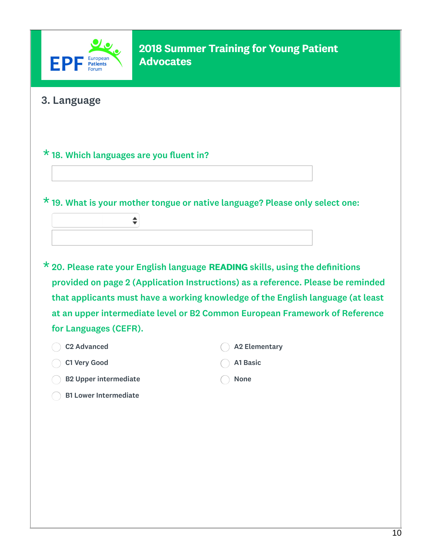

### 3. Language

#### $*$  18. Which languages are you fluent in?

♦

\*19. What is your mother tongue or native language? Please only select one:

 $\star$  20. Please rate your English language READING skills, using the definitions provided on page 2 (Application Instructions) as a reference. Please be reminded that applicants must have a working knowledge of the English language (at least at an upper intermediate level or B2 Common European Framework of Reference for Languages (CEFR).

| C2 Advanced                  | A2 Elementary |
|------------------------------|---------------|
| C1 Very Good                 | Al Basic      |
| <b>B2 Upper intermediate</b> | <b>None</b>   |

B1 Lower Intermediate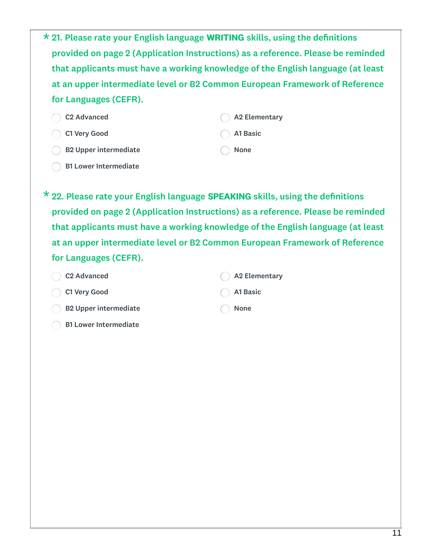|                       | * 21. Please rate your English language WRITING skills, using the definitions    |
|-----------------------|----------------------------------------------------------------------------------|
|                       | provided on page 2 (Application Instructions) as a reference. Please be reminded |
|                       | that applicants must have a working knowledge of the English language (at least  |
|                       | at an upper intermediate level or B2 Common European Framework of Reference      |
| for Languages (CEFR). |                                                                                  |

| C2 Advanced                      | A2 Elementary |
|----------------------------------|---------------|
| C1 Very Good                     | Al Basic      |
| $\bigcirc$ B2 Upper intermediate | ( None        |

B1 Lower Intermediate

 $^{\texttt{\texttt{\star}}}$  22. Please rate your English language SPEAKING skills, using the definitions provided on page 2 (Application Instructions) as a reference. Please be reminded that applicants must have a working knowledge of the English language (at least at an upper intermediate level or B2 Common European Framework of Reference for Languages (CEFR).

| C <sub>2</sub> Advanced     | $\bigcirc$ A2 Elementary |
|-----------------------------|--------------------------|
| C1 Very Good                | $( )$ A1 Basic           |
| $( )$ B2 Upper intermediate | <b>None</b>              |
| ( ) B1 Lower Intermediate   |                          |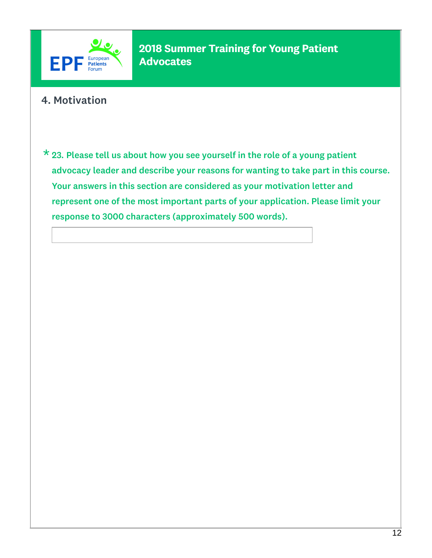

# 4. Motivation

 $\star$  23. Please tell us about how you see yourself in the role of a young patient advocacy leader and describe your reasons for wanting to take part in this course. Your answers in this section are considered as your motivation letter and represent one of the most important parts of your application. Please limit your response to 3000 characters (approximately 500 words).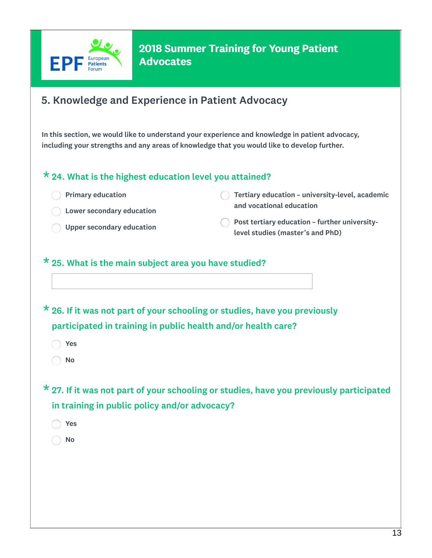

# 5. Knowledge and Experience in Patient Advocacy

In this section, we would like to understand your experience and knowledge in patient advocacy, including your strengths and any areas of knowledge that you would like to develop further.

#### $*$  24. What is the highest education level you attained?

| $\bigcap$ Primary education | $\bigcirc$ Tertiary education – university-level, academic                                  |
|-----------------------------|---------------------------------------------------------------------------------------------|
| ◯ Lower secondary education | and vocational education                                                                    |
| O Upper secondary education | $\bigcap$ Post tertiary education - further university-<br>level studies (master's and PhD) |

#### $*$  25. What is the main subject area you have studied?

 $\star$  26. If it was not part of your schooling or studies, have you previously participated in training in public health and/or health care?

Yes

No

 $^{\star}$  27. If it was not part of your schooling or studies, have you previously participated in training in public policy and/or advocacy?

Yes

No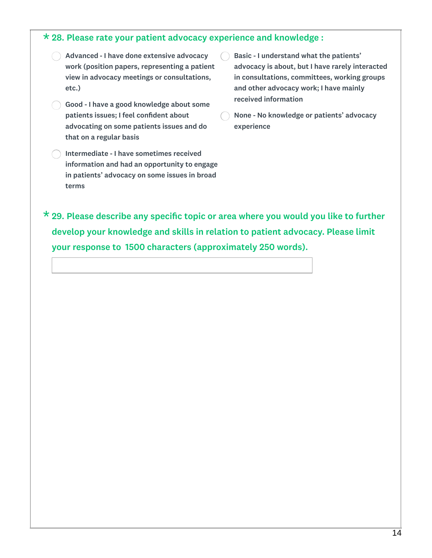#### 28. Please rate your patient advocacy experience and knowledge : \*

- Advanced I have done extensive advocacy work (position papers, representing a patient view in advocacy meetings or consultations, etc.)
- Good I have a good knowledge about some patients issues; I feel confident about advocating on some patients issues and do that on a regular basis
- Intermediate I have sometimes received information and had an opportunity to engage in patients' advocacy on some issues in broad terms
- Basic I understand what the patients' advocacy is about, but I have rarely interacted in consultations, committees, working groups and other advocacy work; I have mainly received information
- None No knowledge or patients' advocacy experience

 $\star$  29. Please describe any specific topic or area where you would you like to further develop your knowledge and skills in relation to patient advocacy. Please limit your response to 1500 characters (approximately 250 words).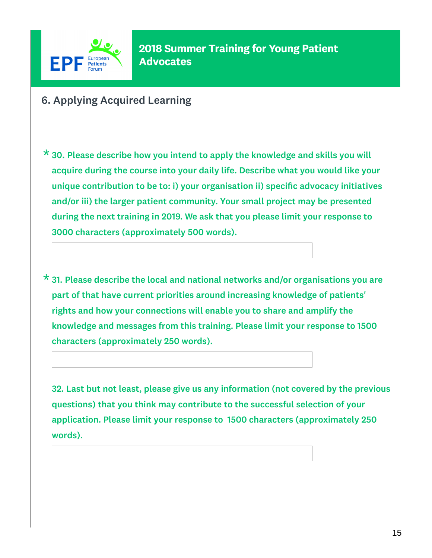

- 6. Applying Acquired Learning
- $\star$  30. Please describe how you intend to apply the knowledge and skills you will acquire during the course into your daily life. Describe what you would like your unique contribution to be to: i) your organisation ii) specific advocacy initiatives and/or iii) the larger patient community. Your small project may be presented during the next training in 2019. We ask that you please limit your response to 3000 characters (approximately 500 words).
- $\star$  31. Please describe the local and national networks and/or organisations you are part of that have current priorities around increasing knowledge of patients' rights and how your connections will enable you to share and amplify the knowledge and messages from this training. Please limit your response to 1500 characters (approximately 250 words).

32. Last but not least, please give us any information (not covered by the previous questions) that you think may contribute to the successful selection of your application. Please limit your response to 1500 characters (approximately 250 words).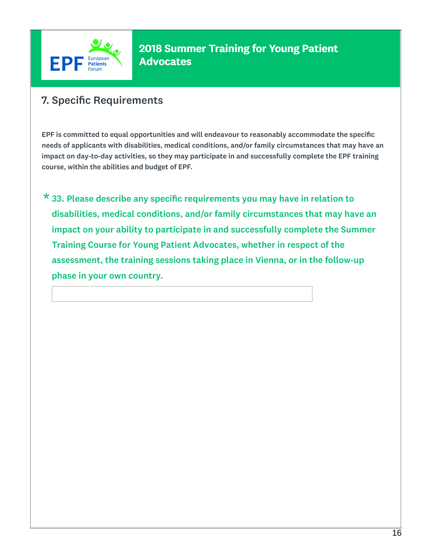

# 7. Specific Requirements

EPF is committed to equal opportunities and will endeavour to reasonably accommodate the specific needs of applicants with disabilities, medical conditions, and/or family circumstances that may have an impact on day-to-day activities, so they may participate in and successfully complete the EPF training course, within the abilities and budget of EPF.

 $\star$  33. Please describe any specific requirements you may have in relation to disabilities, medical conditions, and/or family circumstances that may have an impact on your ability to participate in and successfully complete the Summer Training Course for Young Patient Advocates, whether in respect of the assessment, the training sessions taking place in Vienna, or in the follow-up phase in your own country.